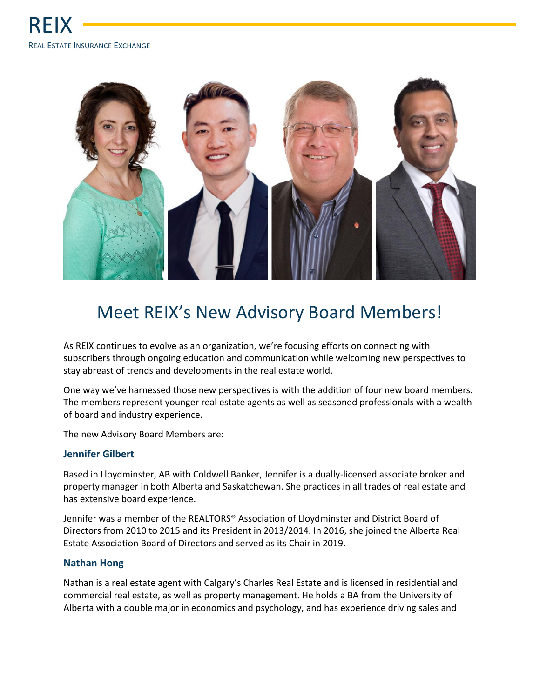

# Meet REIX's New Advisory Board Members!

As REIX continues to evolve as an organization, we're focusing efforts on connecting with subscribers through ongoing education and communication while welcoming new perspectives to stay abreast of trends and developments in the real estate world.

One way we've harnessed those new perspectives is with the addition of four new board members. The members represent younger real estate agents as well as seasoned professionals with a wealth of board and industry experience.

The new Advisory Board Members are:

## **Jennifer Gilbert**

Based in Lloydminster, AB with Coldwell Banker, Jennifer is a dually-licensed associate broker and property manager in both Alberta and Saskatchewan. She practices in all trades of real estate and has extensive board experience.

Jennifer was a member of the REALTORS® Association of Lloydminster and District Board of Directors from 2010 to 2015 and its President in 2013/2014. In 2016, she joined the Alberta Real Estate Association Board of Directors and served as its Chair in 2019.

## **Nathan Hong**

Nathan is a real estate agent with Calgary's Charles Real Estate and is licensed in residential and commercial real estate, as well as property management. He holds a BA from the University of Alberta with a double major in economics and psychology, and has experience driving sales and